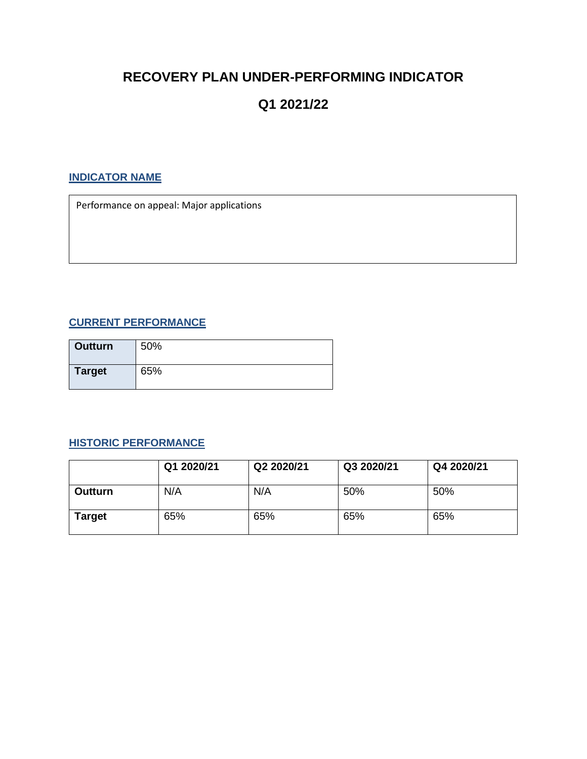## **RECOVERY PLAN UNDER-PERFORMING INDICATOR**

# **Q1 2021/22**

## **INDICATOR NAME**

Performance on appeal: Major applications

### **CURRENT PERFORMANCE**

| <b>Outturn</b> | 50% |
|----------------|-----|
| <b>Target</b>  | 65% |

#### **HISTORIC PERFORMANCE**

|                | Q1 2020/21 | Q2 2020/21 | Q3 2020/21 | Q4 2020/21 |
|----------------|------------|------------|------------|------------|
| <b>Outturn</b> | N/A        | N/A        | 50%        | 50%        |
| Target         | 65%        | 65%        | 65%        | 65%        |